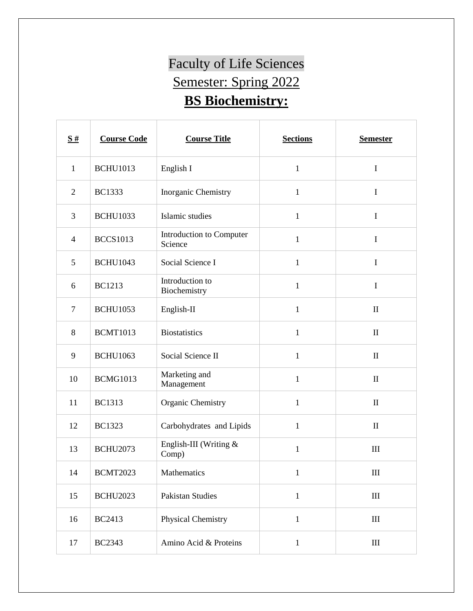## Faculty of Life Sciences Semester: Spring 2022 **BS Biochemistry:**

| $\frac{S#}{4}$ | <b>Course Code</b> | <b>Course Title</b>                 | <b>Sections</b> | <b>Semester</b> |
|----------------|--------------------|-------------------------------------|-----------------|-----------------|
| $\mathbf{1}$   | <b>BCHU1013</b>    | English I                           | $\mathbf{1}$    | $\mathbf I$     |
| $\overline{2}$ | <b>BC1333</b>      | Inorganic Chemistry                 | $\mathbf{1}$    | $\mathbf I$     |
| 3              | <b>BCHU1033</b>    | Islamic studies                     | 1               | I               |
| $\overline{4}$ | <b>BCCS1013</b>    | Introduction to Computer<br>Science | $\mathbf{1}$    | $\bf I$         |
| 5              | <b>BCHU1043</b>    | Social Science I                    | $\mathbf{1}$    | $\mathbf I$     |
| 6              | <b>BC1213</b>      | Introduction to<br>Biochemistry     | $\mathbf{1}$    | $\mathbf I$     |
| $\overline{7}$ | <b>BCHU1053</b>    | English-II                          | $\mathbf{1}$    | $\mathbf{I}$    |
| 8              | <b>BCMT1013</b>    | <b>Biostatistics</b>                | $\mathbf{1}$    | $\mathbf{I}$    |
| 9              | <b>BCHU1063</b>    | Social Science II                   | $\mathbf{1}$    | $\mathbf{I}$    |
| 10             | <b>BCMG1013</b>    | Marketing and<br>Management         | $\mathbf{1}$    | $\mathbf{I}$    |
| 11             | <b>BC1313</b>      | Organic Chemistry                   | $\mathbf{1}$    | $\mathbf{I}$    |
| 12             | <b>BC1323</b>      | Carbohydrates and Lipids            | $\mathbf{1}$    | $\mathbf{I}$    |
| 13             | <b>BCHU2073</b>    | English-III (Writing $\&$<br>Comp)  | $\mathbf{1}$    | $\rm III$       |
| 14             | <b>BCMT2023</b>    | Mathematics                         | $\mathbf{1}$    | $\rm III$       |
| 15             | <b>BCHU2023</b>    | <b>Pakistan Studies</b>             | $\mathbf{1}$    | $\rm III$       |
| 16             | <b>BC2413</b>      | Physical Chemistry                  | $\mathbf{1}$    | $\rm III$       |
| 17             | <b>BC2343</b>      | Amino Acid & Proteins               | $\mathbf{1}$    | $\rm III$       |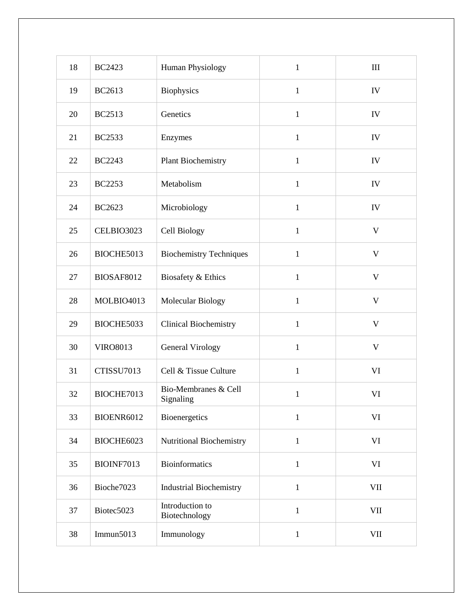| 18 | <b>BC2423</b>     | Human Physiology                  | $\mathbf{1}$ | III          |
|----|-------------------|-----------------------------------|--------------|--------------|
| 19 | BC2613            | Biophysics                        | $\mathbf{1}$ | IV           |
| 20 | <b>BC2513</b>     | Genetics                          | $\mathbf{1}$ | IV           |
| 21 | <b>BC2533</b>     | Enzymes                           | $\mathbf{1}$ | IV           |
| 22 | <b>BC2243</b>     | <b>Plant Biochemistry</b>         | $\mathbf{1}$ | IV           |
| 23 | <b>BC2253</b>     | Metabolism                        | $\mathbf{1}$ | IV           |
| 24 | <b>BC2623</b>     | Microbiology                      | $\mathbf{1}$ | IV           |
| 25 | CELBIO3023        | Cell Biology                      | $\mathbf{1}$ | $\mathbf{V}$ |
| 26 | BIOCHE5013        | <b>Biochemistry Techniques</b>    | $\mathbf{1}$ | $\mathbf V$  |
| 27 | <b>BIOSAF8012</b> | Biosafety & Ethics                | $\mathbf{1}$ | $\mathbf V$  |
| 28 | MOLBIO4013        | Molecular Biology                 | $\mathbf{1}$ | $\mathbf{V}$ |
| 29 | BIOCHE5033        | <b>Clinical Biochemistry</b>      | $\mathbf{1}$ | $\mathbf V$  |
| 30 | <b>VIRO8013</b>   | <b>General Virology</b>           | $\mathbf{1}$ | $\mathbf V$  |
| 31 | CTISSU7013        | Cell & Tissue Culture             | $\mathbf{1}$ | VI           |
| 32 | BIOCHE7013        | Bio-Membranes & Cell<br>Signaling | $\mathbf{1}$ | VI           |
| 33 | BIOENR6012        | Bioenergetics                     | $\mathbf{1}$ | VI           |
| 34 | BIOCHE6023        | Nutritional Biochemistry          | $\mathbf{1}$ | VI           |
| 35 | BIOINF7013        | <b>Bioinformatics</b>             | $\mathbf{1}$ | VI           |
| 36 | Bioche7023        | <b>Industrial Biochemistry</b>    | $\mathbf{1}$ | $\rm{VII}$   |
| 37 | Biotec5023        | Introduction to<br>Biotechnology  | $\,1$        | VII          |
| 38 | Immun $5013$      | Immunology                        | $\mathbf{1}$ | $\rm{VII}$   |